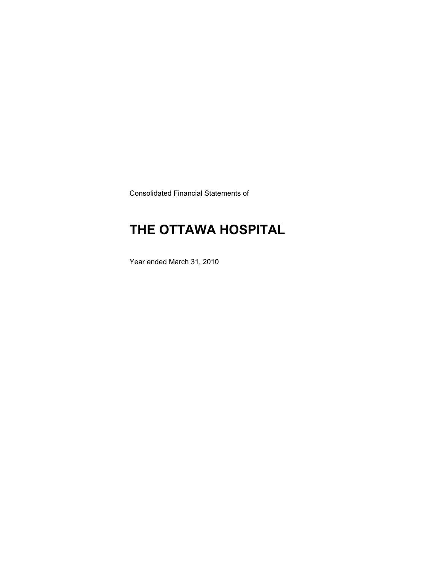Consolidated Financial Statements of

# **THE OTTAWA HOSPITAL**

Year ended March 31, 2010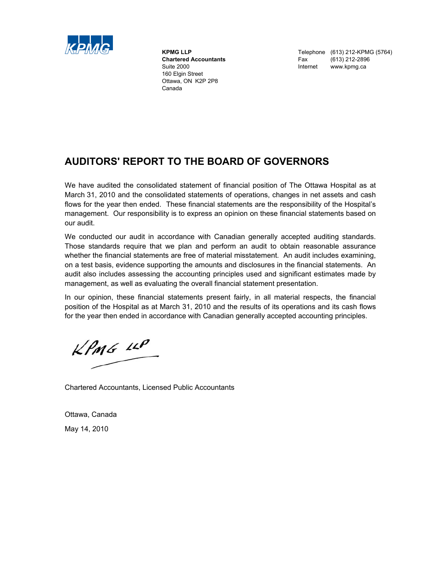

160 Elgin Street Ottawa, ON K2P 2P8 Canada

**KPMG LLP** Telephone (613) 212-KPMG (5764) **Chartered Accountants Fax** (613) 212-2896<br>
Suite 2000 **Suite 2000 Internet MWW.kpmg.ca** www.kpmg.ca

### **AUDITORS' REPORT TO THE BOARD OF GOVERNORS**

We have audited the consolidated statement of financial position of The Ottawa Hospital as at March 31, 2010 and the consolidated statements of operations, changes in net assets and cash flows for the year then ended. These financial statements are the responsibility of the Hospital's management. Our responsibility is to express an opinion on these financial statements based on our audit.

We conducted our audit in accordance with Canadian generally accepted auditing standards. Those standards require that we plan and perform an audit to obtain reasonable assurance whether the financial statements are free of material misstatement. An audit includes examining, on a test basis, evidence supporting the amounts and disclosures in the financial statements. An audit also includes assessing the accounting principles used and significant estimates made by management, as well as evaluating the overall financial statement presentation.

In our opinion, these financial statements present fairly, in all material respects, the financial position of the Hospital as at March 31, 2010 and the results of its operations and its cash flows for the year then ended in accordance with Canadian generally accepted accounting principles.

 $KPMG$  14P

Chartered Accountants, Licensed Public Accountants

Ottawa, Canada May 14, 2010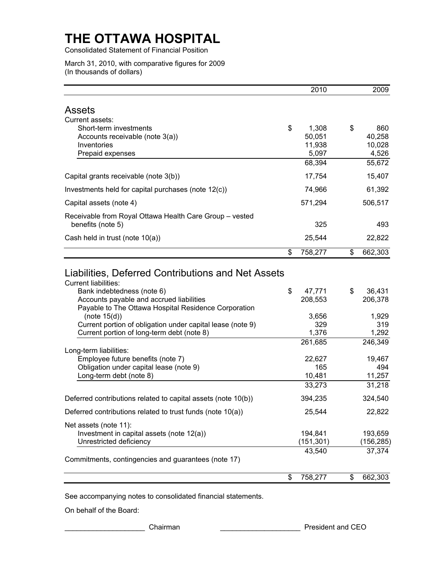Consolidated Statement of Financial Position

March 31, 2010, with comparative figures for 2009 (In thousands of dollars)

|                                                                                                                                                                                  | 2010                             | 2009                             |
|----------------------------------------------------------------------------------------------------------------------------------------------------------------------------------|----------------------------------|----------------------------------|
|                                                                                                                                                                                  |                                  |                                  |
| <b>Assets</b>                                                                                                                                                                    |                                  |                                  |
| Current assets:                                                                                                                                                                  |                                  |                                  |
| Short-term investments<br>Accounts receivable (note 3(a))                                                                                                                        | \$<br>1,308<br>50,051            | \$<br>860<br>40,258              |
| Inventories                                                                                                                                                                      | 11,938                           | 10,028                           |
| Prepaid expenses                                                                                                                                                                 | 5,097                            | 4,526                            |
|                                                                                                                                                                                  | 68,394                           | 55,672                           |
| Capital grants receivable (note 3(b))                                                                                                                                            | 17,754                           | 15,407                           |
| Investments held for capital purchases (note 12(c))                                                                                                                              | 74,966                           | 61,392                           |
| Capital assets (note 4)                                                                                                                                                          | 571,294                          | 506,517                          |
| Receivable from Royal Ottawa Health Care Group - vested                                                                                                                          |                                  |                                  |
| benefits (note 5)                                                                                                                                                                | 325                              | 493                              |
| Cash held in trust (note 10(a))                                                                                                                                                  | 25,544                           | 22,822                           |
|                                                                                                                                                                                  | \$<br>758,277                    | \$<br>662,303                    |
| <b>Current liabilities:</b><br>Bank indebtedness (note 6)<br>Accounts payable and accrued liabilities<br>Payable to The Ottawa Hospital Residence Corporation<br>(note $15(d)$ ) | \$<br>47,771<br>208,553<br>3,656 | \$<br>36,431<br>206,378<br>1,929 |
| Current portion of obligation under capital lease (note 9)<br>Current portion of long-term debt (note 8)                                                                         | 329<br>1,376                     | 319<br>1,292                     |
|                                                                                                                                                                                  | 261,685                          | 246,349                          |
| Long-term liabilities:<br>Employee future benefits (note 7)                                                                                                                      | 22,627                           | 19,467                           |
| Obligation under capital lease (note 9)                                                                                                                                          | 165                              | 494                              |
| Long-term debt (note 8)                                                                                                                                                          | 10,481                           | 11,257                           |
|                                                                                                                                                                                  | 33,273                           | 31,218                           |
| Deferred contributions related to capital assets (note 10(b))                                                                                                                    | 394,235                          | 324,540                          |
| Deferred contributions related to trust funds (note 10(a))                                                                                                                       | 25,544                           | 22,822                           |
| Net assets (note 11):                                                                                                                                                            |                                  |                                  |
| Investment in capital assets (note 12(a))                                                                                                                                        | 194,841                          | 193,659                          |
| Unrestricted deficiency                                                                                                                                                          | (151, 301)                       | (156, 285)                       |
| Commitments, contingencies and guarantees (note 17)                                                                                                                              | 43,540                           | 37,374                           |
|                                                                                                                                                                                  | \$<br>758,277                    | \$<br>662,303                    |
|                                                                                                                                                                                  |                                  |                                  |

See accompanying notes to consolidated financial statements.

On behalf of the Board:

\_\_\_\_\_\_\_\_\_\_\_\_\_\_\_\_\_\_\_\_ Chairman \_\_\_\_\_\_\_\_\_\_\_\_\_\_\_\_\_\_\_\_ President and CEO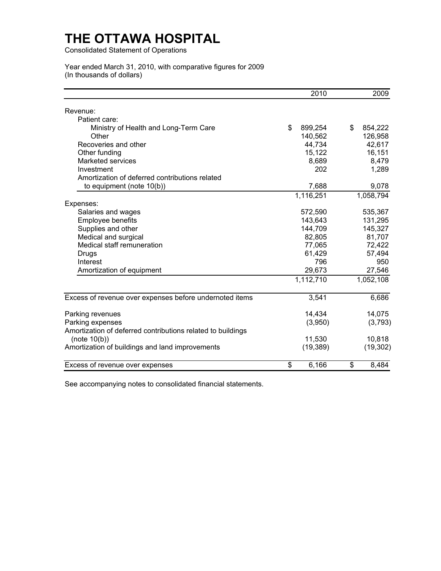Consolidated Statement of Operations

#### Year ended March 31, 2010, with comparative figures for 2009 (In thousands of dollars)

|                                                             | 2010          | 2009          |
|-------------------------------------------------------------|---------------|---------------|
| Revenue:                                                    |               |               |
| Patient care:                                               |               |               |
| Ministry of Health and Long-Term Care                       | \$<br>899,254 | \$<br>854,222 |
| Other                                                       | 140,562       | 126,958       |
| Recoveries and other                                        | 44,734        | 42,617        |
| Other funding                                               | 15,122        | 16,151        |
| Marketed services                                           | 8,689         | 8,479         |
| Investment                                                  | 202           | 1,289         |
| Amortization of deferred contributions related              |               |               |
| to equipment (note 10(b))                                   | 7,688         | 9,078         |
|                                                             | 1,116,251     | 1,058,794     |
| Expenses:                                                   |               |               |
| Salaries and wages                                          | 572,590       | 535,367       |
| Employee benefits                                           | 143,643       | 131,295       |
| Supplies and other                                          | 144,709       | 145,327       |
| Medical and surgical                                        | 82,805        | 81,707        |
| Medical staff remuneration                                  | 77,065        | 72,422        |
| <b>Drugs</b>                                                | 61,429        | 57,494        |
| Interest                                                    | 796           | 950           |
| Amortization of equipment                                   | 29,673        | 27,546        |
|                                                             | 1,112,710     | 1,052,108     |
| Excess of revenue over expenses before undernoted items     | 3,541         | 6,686         |
| Parking revenues                                            | 14,434        | 14,075        |
| Parking expenses                                            | (3,950)       | (3,793)       |
| Amortization of deferred contributions related to buildings |               |               |
| (note $10(b)$ )                                             | 11,530        | 10,818        |
| Amortization of buildings and land improvements             | (19, 389)     | (19, 302)     |
| Excess of revenue over expenses                             | \$<br>6,166   | \$<br>8,484   |

See accompanying notes to consolidated financial statements.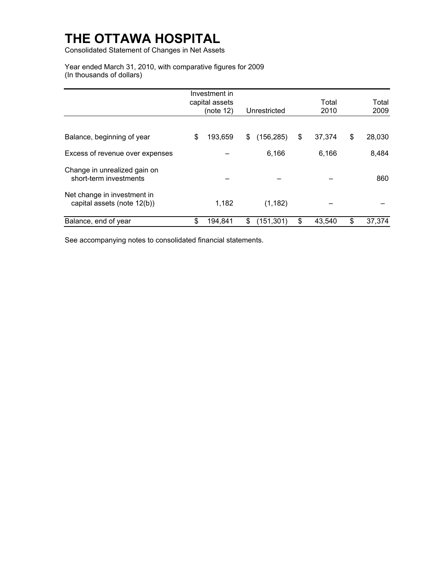Consolidated Statement of Changes in Net Assets

Year ended March 31, 2010, with comparative figures for 2009 (In thousands of dollars)

|                                                            | Investment in               |                  | Total        | Total        |
|------------------------------------------------------------|-----------------------------|------------------|--------------|--------------|
|                                                            | capital assets<br>(note 12) | Unrestricted     | 2010         | 2009         |
|                                                            |                             |                  |              |              |
| Balance, beginning of year                                 | \$<br>193,659               | \$<br>(156, 285) | \$<br>37,374 | \$<br>28,030 |
| Excess of revenue over expenses                            |                             | 6,166            | 6,166        | 8,484        |
| Change in unrealized gain on<br>short-term investments     |                             |                  |              | 860          |
| Net change in investment in<br>capital assets (note 12(b)) | 1,182                       | (1, 182)         |              |              |
| Balance, end of year                                       | \$<br>194,841               | \$<br>(151, 301) | \$<br>43,540 | \$<br>37,374 |

See accompanying notes to consolidated financial statements.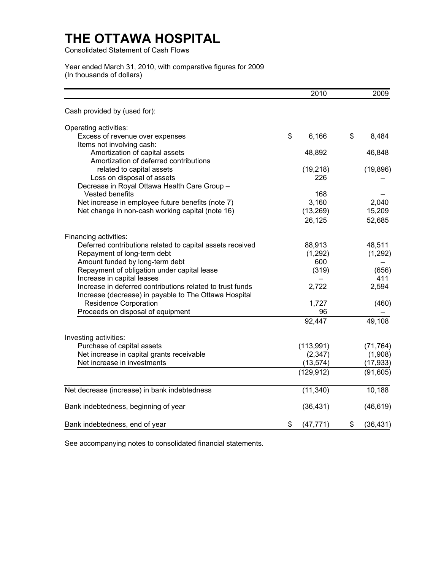Consolidated Statement of Cash Flows

Year ended March 31, 2010, with comparative figures for 2009 (In thousands of dollars)

|                                                           | 2010            | 2009                               |
|-----------------------------------------------------------|-----------------|------------------------------------|
| Cash provided by (used for):                              |                 |                                    |
| Operating activities:                                     |                 |                                    |
| Excess of revenue over expenses                           | \$<br>6,166     | $\boldsymbol{\mathsf{s}}$<br>8,484 |
| Items not involving cash:                                 |                 |                                    |
| Amortization of capital assets                            | 48,892          | 46,848                             |
| Amortization of deferred contributions                    |                 |                                    |
| related to capital assets                                 | (19, 218)       | (19, 896)                          |
| Loss on disposal of assets                                | 226             |                                    |
| Decrease in Royal Ottawa Health Care Group -              |                 |                                    |
| Vested benefits                                           | 168             |                                    |
| Net increase in employee future benefits (note 7)         | 3,160           | 2,040                              |
| Net change in non-cash working capital (note 16)          | (13, 269)       | 15,209                             |
|                                                           | 26,125          | 52,685                             |
| Financing activities:                                     |                 |                                    |
| Deferred contributions related to capital assets received | 88,913          | 48,511                             |
| Repayment of long-term debt                               | (1,292)         | (1, 292)                           |
| Amount funded by long-term debt                           | 600             |                                    |
| Repayment of obligation under capital lease               | (319)           | (656)                              |
| Increase in capital leases                                |                 | 411                                |
| Increase in deferred contributions related to trust funds | 2,722           | 2,594                              |
| Increase (decrease) in payable to The Ottawa Hospital     |                 |                                    |
| <b>Residence Corporation</b>                              | 1,727           | (460)                              |
| Proceeds on disposal of equipment                         | 96              |                                    |
|                                                           | 92,447          | 49,108                             |
| Investing activities:                                     |                 |                                    |
| Purchase of capital assets                                | (113,991)       | (71, 764)                          |
| Net increase in capital grants receivable                 | (2, 347)        | (1,908)                            |
| Net increase in investments                               | (13, 574)       | (17, 933)                          |
|                                                           | (129, 912)      | (91, 605)                          |
| Net decrease (increase) in bank indebtedness              | (11, 340)       | 10,188                             |
| Bank indebtedness, beginning of year                      | (36, 431)       | (46, 619)                          |
| Bank indebtedness, end of year                            | (47, 771)<br>\$ | \$<br>(36, 431)                    |

See accompanying notes to consolidated financial statements.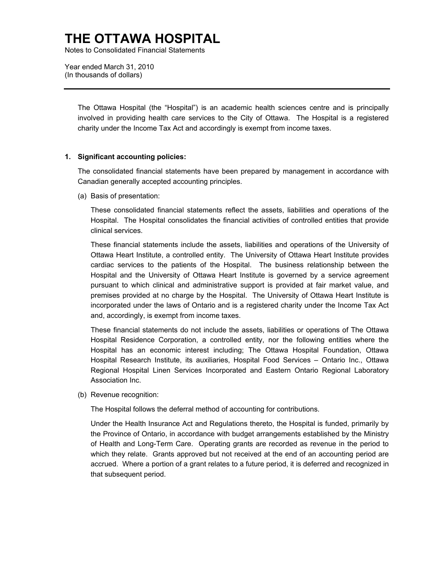Notes to Consolidated Financial Statements

Year ended March 31, 2010 (In thousands of dollars)

> The Ottawa Hospital (the "Hospital") is an academic health sciences centre and is principally involved in providing health care services to the City of Ottawa. The Hospital is a registered charity under the Income Tax Act and accordingly is exempt from income taxes.

#### **1. Significant accounting policies:**

The consolidated financial statements have been prepared by management in accordance with Canadian generally accepted accounting principles.

(a) Basis of presentation:

These consolidated financial statements reflect the assets, liabilities and operations of the Hospital. The Hospital consolidates the financial activities of controlled entities that provide clinical services.

These financial statements include the assets, liabilities and operations of the University of Ottawa Heart Institute, a controlled entity. The University of Ottawa Heart Institute provides cardiac services to the patients of the Hospital. The business relationship between the Hospital and the University of Ottawa Heart Institute is governed by a service agreement pursuant to which clinical and administrative support is provided at fair market value, and premises provided at no charge by the Hospital. The University of Ottawa Heart Institute is incorporated under the laws of Ontario and is a registered charity under the Income Tax Act and, accordingly, is exempt from income taxes.

Association Inc. These financial statements do not include the assets, liabilities or operations of The Ottawa Hospital Residence Corporation, a controlled entity, nor the following entities where the Hospital has an economic interest including; The Ottawa Hospital Foundation, Ottawa Hospital Research Institute, its auxiliaries, Hospital Food Services – Ontario Inc., Ottawa Regional Hospital Linen Services Incorporated and Eastern Ontario Regional Laboratory

(b) Revenue recognition:

The Hospital follows the deferral method of accounting for contributions.

Under the Health Insurance Act and Regulations thereto, the Hospital is funded, primarily by the Province of Ontario, in accordance with budget arrangements established by the Ministry of Health and Long-Term Care. Operating grants are recorded as revenue in the period to which they relate. Grants approved but not received at the end of an accounting period are accrued. Where a portion of a grant relates to a future period, it is deferred and recognized in that subsequent period.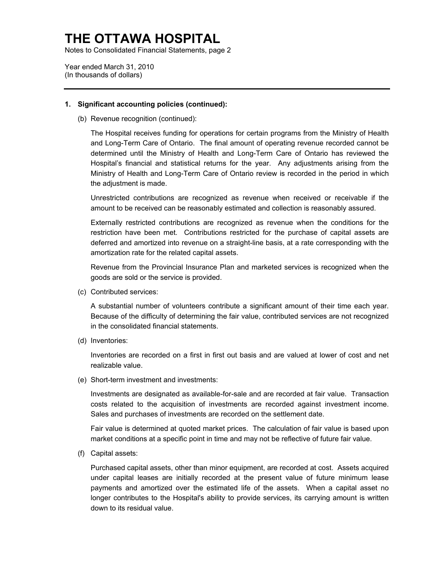Notes to Consolidated Financial Statements, page 2

Year ended March 31, 2010 (In thousands of dollars)

#### **1. Significant accounting policies (continued):**

(b) Revenue recognition (continued):

The Hospital receives funding for operations for certain programs from the Ministry of Health and Long-Term Care of Ontario. The final amount of operating revenue recorded cannot be determined until the Ministry of Health and Long-Term Care of Ontario has reviewed the Hospital's financial and statistical returns for the year. Any adjustments arising from the Ministry of Health and Long-Term Care of Ontario review is recorded in the period in which the adjustment is made.

Unrestricted contributions are recognized as revenue when received or receivable if the amount to be received can be reasonably estimated and collection is reasonably assured.

Externally restricted contributions are recognized as revenue when the conditions for the restriction have been met. Contributions restricted for the purchase of capital assets are deferred and amortized into revenue on a straight-line basis, at a rate corresponding with the amortization rate for the related capital assets.

Revenue from the Provincial Insurance Plan and marketed services is recognized when the goods are sold or the service is provided.

(c) Contributed services:

A substantial number of volunteers contribute a significant amount of their time each year. Because of the difficulty of determining the fair value, contributed services are not recognized in the consolidated financial statements.

(d) Inventories:

Inventories are recorded on a first in first out basis and are valued at lower of cost and net realizable value.

(e) Short-term investment and investments:

costs related to the acquisition of investments are recorded against investment income.<br>Sales and purchases of investments are recorded on the settlement date. Investments are designated as available-for-sale and are recorded at fair value. Transaction

Fair value is determined at quoted market prices. The calculation of fair value is based upon market conditions at a specific point in time and may not be reflective of future fair value.

(f) Capital assets:

Purchased capital assets, other than minor equipment, are recorded at cost. Assets acquired under capital leases are initially recorded at the present value of future minimum lease payments and amortized over the estimated life of the assets. When a capital asset no longer contributes to the Hospital's ability to provide services, its carrying amount is written down to its residual value.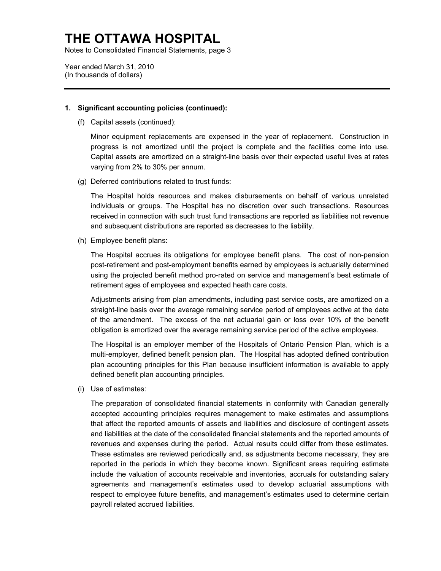Notes to Consolidated Financial Statements, page 3

Year ended March 31, 2010 (In thousands of dollars)

#### **1. Significant accounting policies (continued):**

(f) Capital assets (continued):

Minor equipment replacements are expensed in the year of replacement. Construction in progress is not amortized until the project is complete and the facilities come into use. Capital assets are amortized on a straight-line basis over their expected useful lives at rates varying from 2% to 30% per annum.

(g) Deferred contributions related to trust funds:

The Hospital holds resources and makes disbursements on behalf of various unrelated individuals or groups. The Hospital has no discretion over such transactions. Resources received in connection with such trust fund transactions are reported as liabilities not revenue and subsequent distributions are reported as decreases to the liability.

(h) Employee benefit plans:

The Hospital accrues its obligations for employee benefit plans. The cost of non-pension post-retirement and post-employment benefits earned by employees is actuarially determined using the projected benefit method pro-rated on service and management's best estimate of retirement ages of employees and expected heath care costs.

Adjustments arising from plan amendments, including past service costs, are amortized on a straight-line basis over the average remaining service period of employees active at the date of the amendment. The excess of the net actuarial gain or loss over 10% of the benefit obligation is amortized over the average remaining service period of the active employees.

 The Hospital is an employer member of the Hospitals of Ontario Pension Plan, which is a multi-employer, defined benefit pension plan. The Hospital has adopted defined contribution plan accounting principles for this Plan because insufficient information is available to apply defined benefit plan accounting principles.

(i) Use of estimates:

The preparation of consolidated financial statements in conformity with Canadian generally accepted accounting principles requires management to make estimates and assumptions that affect the reported amounts of assets and liabilities and disclosure of contingent assets and liabilities at the date of the consolidated financial statements and the reported amounts of revenues and expenses during the period. Actual results could differ from these estimates. These estimates are reviewed periodically and, as adjustments become necessary, they are reported in the periods in which they become known. Significant areas requiring estimate include the valuation of accounts receivable and inventories, accruals for outstanding salary agreements and management's estimates used to develop actuarial assumptions with respect to employee future benefits, and management's estimates used to determine certain payroll related accrued liabilities.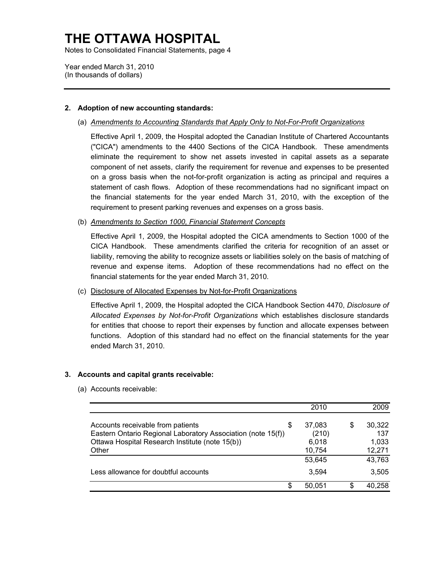Notes to Consolidated Financial Statements, page 4

Year ended March 31, 2010 (In thousands of dollars)

#### **2. Adoption of new accounting standards:**

(a) *Amendments to Accounting Standards that Apply Only to Not-For-Profit Organizations* 

Effective April 1, 2009, the Hospital adopted the Canadian Institute of Chartered Accountants ("CICA") amendments to the 4400 Sections of the CICA Handbook. These amendments eliminate the requirement to show net assets invested in capital assets as a separate component of net assets, clarify the requirement for revenue and expenses to be presented on a gross basis when the not-for-profit organization is acting as principal and requires a statement of cash flows. Adoption of these recommendations had no significant impact on the financial statements for the year ended March 31, 2010, with the exception of the requirement to present parking revenues and expenses on a gross basis.

#### (b) *Amendments to Section 1000, Financial Statement Concepts*

Effective April 1, 2009, the Hospital adopted the CICA amendments to Section 1000 of the CICA Handbook. These amendments clarified the criteria for recognition of an asset or liability, removing the ability to recognize assets or liabilities solely on the basis of matching of revenue and expense items. Adoption of these recommendations had no effect on the financial statements for the year ended March 31, 2010.

(c) Disclosure of Allocated Expenses by Not-for-Profit Organizations

Effective April 1, 2009, the Hospital adopted the CICA Handbook Section 4470, *Disclosure of Allocated Expenses by Not-for-Profit Organizations* which establishes disclosure standards for entities that choose to report their expenses by function and allocate expenses between functions. Adoption of this standard had no effect on the financial statements for the year ended March 31, 2010.

#### **3. Accounts and capital grants receivable:**

(a) Accounts receivable:

|                                                                                                                                                               |   | 2010                               |   | 2009                             |
|---------------------------------------------------------------------------------------------------------------------------------------------------------------|---|------------------------------------|---|----------------------------------|
| Accounts receivable from patients<br>Eastern Ontario Regional Laboratory Association (note 15(f))<br>Ottawa Hospital Research Institute (note 15(b))<br>Other | S | 37,083<br>(210)<br>6,018<br>10,754 | S | 30,322<br>137<br>1,033<br>12,271 |
|                                                                                                                                                               |   | 53.645                             |   | 43,763                           |
| Less allowance for doubtful accounts                                                                                                                          |   | 3.594                              |   | 3,505                            |
|                                                                                                                                                               | S | 50.051                             |   | 40,258                           |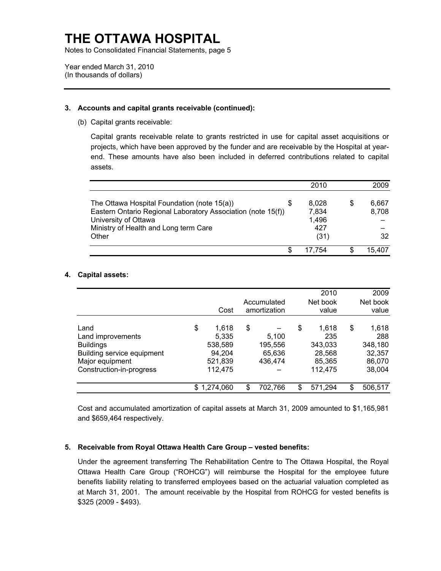Notes to Consolidated Financial Statements, page 5

Year ended March 31, 2010 (In thousands of dollars)

#### **3. Accounts and capital grants receivable (continued):**

(b) Capital grants receivable:

Capital grants receivable relate to grants restricted in use for capital asset acquisitions or projects, which have been approved by the funder and are receivable by the Hospital at yearend. These amounts have also been included in deferred contributions related to capital assets.

|                                                                                                                                                                              |   | 2010                           | 2009           |
|------------------------------------------------------------------------------------------------------------------------------------------------------------------------------|---|--------------------------------|----------------|
| The Ottawa Hospital Foundation (note 15(a))<br>Eastern Ontario Regional Laboratory Association (note 15(f))<br>University of Ottawa<br>Ministry of Health and Long term Care | S | 8.028<br>7,834<br>1,496<br>427 | 6.667<br>8,708 |
| Other                                                                                                                                                                        |   | (31)                           | 32             |
|                                                                                                                                                                              | S | 17.754                         | 15,407         |

#### **4. Capital assets:**

|                                                                                                                            | Cost                                                            | Accumulated<br>amortization                 |    | 2010<br>Net book<br>value                              | 2009<br>Net book<br>value                                   |
|----------------------------------------------------------------------------------------------------------------------------|-----------------------------------------------------------------|---------------------------------------------|----|--------------------------------------------------------|-------------------------------------------------------------|
| Land<br>Land improvements<br><b>Buildings</b><br>Building service equipment<br>Major equipment<br>Construction-in-progress | \$<br>1.618<br>5.335<br>538,589<br>94,204<br>521,839<br>112,475 | \$<br>5.100<br>195,556<br>65,636<br>436.474 | \$ | 1.618<br>235<br>343,033<br>28,568<br>85,365<br>112.475 | \$<br>1,618<br>288<br>348,180<br>32,357<br>86,070<br>38,004 |
|                                                                                                                            | \$<br>1,274,060                                                 | \$<br>702,766                               | S  | 571,294                                                | \$<br>506,517                                               |

Cost and accumulated amortization of capital assets at March 31, 2009 amounted to \$1,165,981 and \$659,464 respectively.

#### **5. Receivable from Royal Ottawa Health Care Group – vested benefits:**

Under the agreement transferring The Rehabilitation Centre to The Ottawa Hospital, the Royal Ottawa Health Care Group ("ROHCG") will reimburse the Hospital for the employee future benefits liability relating to transferred employees based on the actuarial valuation completed as at March 31, 2001. The amount receivable by the Hospital from ROHCG for vested benefits is \$325 (2009 - \$493).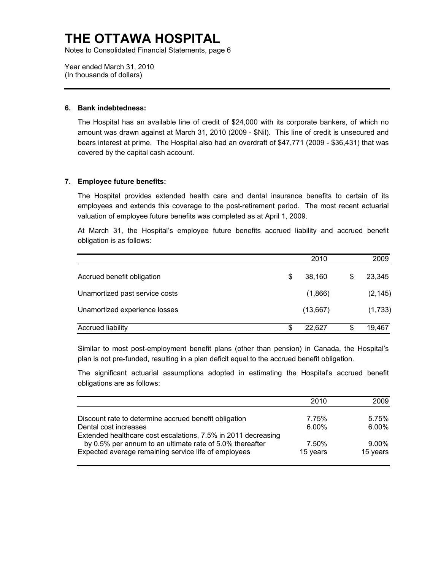Notes to Consolidated Financial Statements, page 6

Year ended March 31, 2010 (In thousands of dollars)

#### **6. Bank indebtedness:**

The Hospital has an available line of credit of \$24,000 with its corporate bankers, of which no amount was drawn against at March 31, 2010 (2009 - \$Nil). This line of credit is unsecured and bears interest at prime. The Hospital also had an overdraft of \$47,771 (2009 - \$36,431) that was covered by the capital cash account.

#### **7. Employee future benefits:**

The Hospital provides extended health care and dental insurance benefits to certain of its employees and extends this coverage to the post-retirement period. The most recent actuarial valuation of employee future benefits was completed as at April 1, 2009.

At March 31, the Hospital's employee future benefits accrued liability and accrued benefit obligation is as follows:

|                                | 2010         |   | 2009     |
|--------------------------------|--------------|---|----------|
| Accrued benefit obligation     | \$<br>38,160 | S | 23,345   |
| Unamortized past service costs | (1,866)      |   | (2, 145) |
| Unamortized experience losses  | (13,667)     |   | (1,733)  |
| <b>Accrued liability</b>       | \$<br>22.627 |   | 19,467   |

Similar to most post-employment benefit plans (other than pension) in Canada, the Hospital's plan is not pre-funded, resulting in a plan deficit equal to the accrued benefit obligation.

The significant actuarial assumptions adopted in estimating the Hospital's accrued benefit obligations are as follows:

| 2010<br>2009                              |
|-------------------------------------------|
| 5.75%<br>7.75%                            |
| $6.00\%$<br>6.00%                         |
|                                           |
| $9.00\%$<br>7.50%<br>15 years<br>15 years |
|                                           |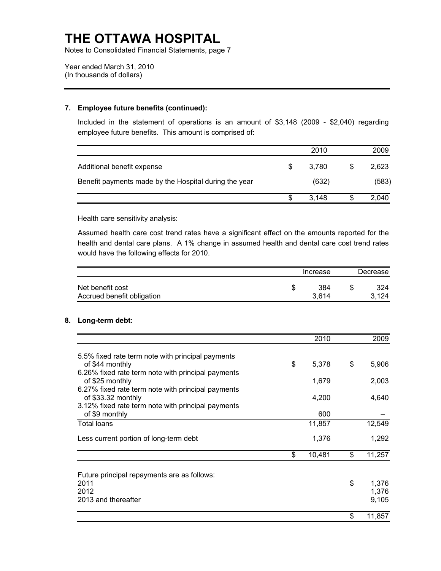Notes to Consolidated Financial Statements, page 7

Year ended March 31, 2010 (In thousands of dollars)

#### **7. Employee future benefits (continued):**

Included in the statement of operations is an amount of \$3,148 (2009 - \$2,040) regarding employee future benefits. This amount is comprised of:

|                                                       |    | 2010  | 2009  |
|-------------------------------------------------------|----|-------|-------|
| Additional benefit expense                            | -S | 3.780 | 2,623 |
| Benefit payments made by the Hospital during the year |    | (632) | (583) |
|                                                       |    | 3.148 | 2.040 |

Health care sensitivity analysis:

Assumed health care cost trend rates have a significant effect on the amounts reported for the health and dental care plans. A 1% change in assumed health and dental care cost trend rates would have the following effects for 2010.

|                                                | Increase     | Decrease |              |
|------------------------------------------------|--------------|----------|--------------|
| Net benefit cost<br>Accrued benefit obligation | 384<br>3.614 |          | 324<br>3.124 |

### **8. Long-term debt:**

|                                                    | 2010         | 2009         |
|----------------------------------------------------|--------------|--------------|
| 5.5% fixed rate term note with principal payments  |              |              |
| of \$44 monthly                                    | \$<br>5,378  | \$<br>5,906  |
| 6.26% fixed rate term note with principal payments |              |              |
| of \$25 monthly                                    | 1,679        | 2,003        |
| 6.27% fixed rate term note with principal payments |              |              |
| of \$33.32 monthly                                 | 4,200        | 4,640        |
| 3.12% fixed rate term note with principal payments |              |              |
| of \$9 monthly                                     | 600          |              |
| <b>Total loans</b>                                 | 11,857       | 12,549       |
| Less current portion of long-term debt             | 1,376        | 1,292        |
|                                                    | \$<br>10,481 | \$<br>11,257 |
|                                                    |              |              |
| Future principal repayments are as follows:        |              |              |
| 2011<br>2012                                       |              | \$<br>1,376  |
| 2013 and thereafter                                |              | 1,376        |
|                                                    |              | 9,105        |
|                                                    |              | \$<br>11,857 |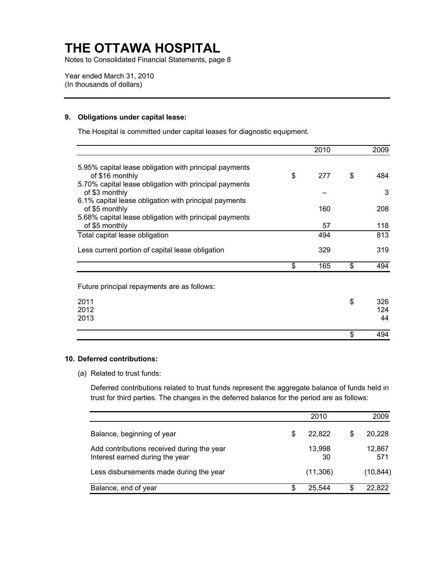Notes to Consolidated Financial Statements, page 8

Year ended March 31, 2010 (In thousands of dollars)

#### **9. Obligations under capital lease:**

The Hospital is committed under capital leases for diagnostic equipment.

|                                                        | 2010      | 2009      |
|--------------------------------------------------------|-----------|-----------|
| 5.95% capital lease obligation with principal payments |           |           |
| of \$16 monthly                                        | \$<br>277 | \$<br>484 |
| 5.70% capital lease obligation with principal payments |           |           |
| of \$3 monthly                                         |           | 3         |
| 6.1% capital lease obligation with principal payments  |           |           |
| of \$5 monthly                                         | 160       | 208       |
| 5.68% capital lease obligation with principal payments |           |           |
| of \$5 monthly                                         | 57        | 118       |
| Total capital lease obligation                         | 494       | 813       |
| Less current portion of capital lease obligation       | 329       | 319       |
|                                                        | \$<br>165 | \$<br>494 |
| Future principal repayments are as follows:            |           |           |
|                                                        |           |           |
| 2011                                                   |           | \$<br>326 |

#### **10. Deferred contributions:**

2012 2013

(a) Related to trust funds:

Deferred contributions related to trust funds represent the aggregate balance of funds held in trust for third parties. The changes in the deferred balance for the period are as follows:

124 44

 $\overline{\text{}}$  494

|                                                                               |    | 2010         |   | 2009          |
|-------------------------------------------------------------------------------|----|--------------|---|---------------|
| Balance, beginning of year                                                    | \$ | 22.822       | S | 20,228        |
| Add contributions received during the year<br>Interest earned during the year |    | 13,998<br>30 |   | 12,867<br>571 |
| Less disbursements made during the year                                       |    | (11,306)     |   | (10, 844)     |
| Balance, end of year                                                          | S  | 25,544       | S | 22,822        |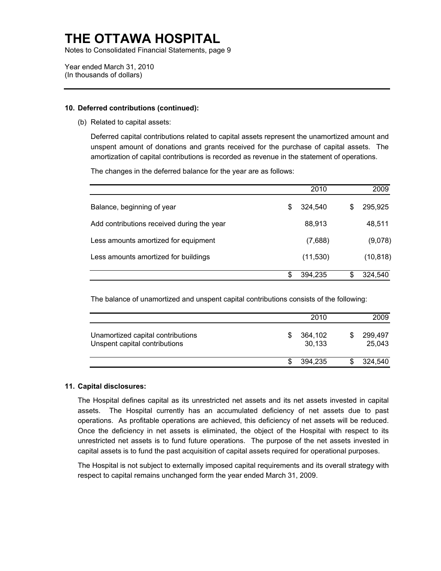Notes to Consolidated Financial Statements, page 9

Year ended March 31, 2010 (In thousands of dollars)

#### **10. Deferred contributions (continued):**

(b) Related to capital assets:

Deferred capital contributions related to capital assets represent the unamortized amount and unspent amount of donations and grants received for the purchase of capital assets. The amortization of capital contributions is recorded as revenue in the statement of operations.

|                                            |    | 2010      |   | 2009      |
|--------------------------------------------|----|-----------|---|-----------|
| Balance, beginning of year                 | S  | 324,540   | S | 295,925   |
| Add contributions received during the year |    | 88,913    |   | 48,511    |
| Less amounts amortized for equipment       |    | (7,688)   |   | (9,078)   |
| Less amounts amortized for buildings       |    | (11, 530) |   | (10, 818) |
|                                            | \$ | 394.235   |   | 324,540   |

The changes in the deferred balance for the year are as follows:

The balance of unamortized and unspent capital contributions consists of the following:

|                                                                    |   | 2010              | 2009              |
|--------------------------------------------------------------------|---|-------------------|-------------------|
| Unamortized capital contributions<br>Unspent capital contributions | S | 364,102<br>30,133 | 299,497<br>25,043 |
|                                                                    |   | 394.235           | 324,540           |

#### **11. Capital disclosures:**

operations. As profitable operations are achieved, this deficiency of net assets will be reduced. The Hospital defines capital as its unrestricted net assets and its net assets invested in capital assets. The Hospital currently has an accumulated deficiency of net assets due to past Once the deficiency in net assets is eliminated, the object of the Hospital with respect to its unrestricted net assets is to fund future operations. The purpose of the net assets invested in capital assets is to fund the past acquisition of capital assets required for operational purposes.

The Hospital is not subject to externally imposed capital requirements and its overall strategy with respect to capital remains unchanged form the year ended March 31, 2009.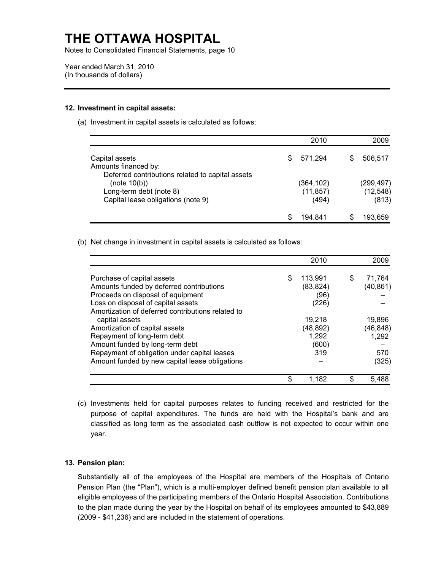Notes to Consolidated Financial Statements, page 10

Year ended March 31, 2010 (In thousands of dollars)

#### **12. Investment in capital assets:**

(a) Investment in capital assets is calculated as follows:

|                                                  |   | 2010       | 2009       |
|--------------------------------------------------|---|------------|------------|
| Capital assets                                   | S | 571.294    | 506,517    |
| Amounts financed by:                             |   |            |            |
| Deferred contributions related to capital assets |   |            |            |
| (note 10(b))                                     |   | (364, 102) | (299, 497) |
| Long-term debt (note 8)                          |   | (11, 857)  | (12, 548)  |
| Capital lease obligations (note 9)               |   | (494)      | (813)      |
|                                                  |   | 194.841    | 193.659    |

(b) Net change in investment in capital assets is calculated as follows:

|                                                   | 2010          |    | 2009      |
|---------------------------------------------------|---------------|----|-----------|
| Purchase of capital assets                        | \$<br>113,991 | S  | 71,764    |
| Amounts funded by deferred contributions          | (83, 824)     |    | (40, 861) |
| Proceeds on disposal of equipment                 | (96)          |    |           |
| Loss on disposal of capital assets                | (226)         |    |           |
| Amortization of deferred contributions related to |               |    |           |
| capital assets                                    | 19,218        |    | 19,896    |
| Amortization of capital assets                    | (48, 892)     |    | (46, 848) |
| Repayment of long-term debt                       | 1,292         |    | 1,292     |
| Amount funded by long-term debt                   | (600)         |    |           |
| Repayment of obligation under capital leases      | 319           |    | 570       |
| Amount funded by new capital lease obligations    |               |    | (325)     |
|                                                   | \$<br>1.182   | \$ | 5.488     |

 purpose of capital expenditures. The funds are held with the Hospital's bank and are (c) Investments held for capital purposes relates to funding received and restricted for the classified as long term as the associated cash outflow is not expected to occur within one year.

#### **13. Pension plan:**

Substantially all of the employees of the Hospital are members of the Hospitals of Ontario Pension Plan (the "Plan"), which is a multi-employer defined benefit pension plan available to all eligible employees of the participating members of the Ontario Hospital Association. Contributions to the plan made during the year by the Hospital on behalf of its employees amounted to \$43,889 (2009 - \$41,236) and are included in the statement of operations.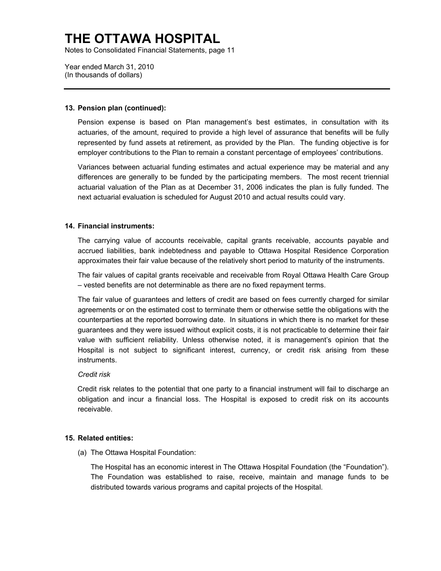Notes to Consolidated Financial Statements, page 11

Year ended March 31, 2010 (In thousands of dollars)

#### **13. Pension plan (continued):**

Pension expense is based on Plan management's best estimates, in consultation with its actuaries, of the amount, required to provide a high level of assurance that benefits will be fully represented by fund assets at retirement, as provided by the Plan. The funding objective is for employer contributions to the Plan to remain a constant percentage of employees' contributions.

Variances between actuarial funding estimates and actual experience may be material and any differences are generally to be funded by the participating members. The most recent triennial actuarial valuation of the Plan as at December 31, 2006 indicates the plan is fully funded. The next actuarial evaluation is scheduled for August 2010 and actual results could vary.

#### **14. Financial instruments:**

 The carrying value of accounts receivable, capital grants receivable, accounts payable and accrued liabilities, bank indebtedness and payable to Ottawa Hospital Residence Corporation approximates their fair value because of the relatively short period to maturity of the instruments.

The fair values of capital grants receivable and receivable from Royal Ottawa Health Care Group – vested benefits are not determinable as there are no fixed repayment terms.

The fair value of guarantees and letters of credit are based on fees currently charged for similar agreements or on the estimated cost to terminate them or otherwise settle the obligations with the counterparties at the reported borrowing date. In situations in which there is no market for these guarantees and they were issued without explicit costs, it is not practicable to determine their fair value with sufficient reliability. Unless otherwise noted, it is management's opinion that the Hospital is not subject to significant interest, currency, or credit risk arising from these instruments.

#### *Credit risk*

Credit risk relates to the potential that one party to a financial instrument will fail to discharge an obligation and incur a financial loss. The Hospital is exposed to credit risk on its accounts receivable.

#### **15. Related entities:**

(a) The Ottawa Hospital Foundation:

The Hospital has an economic interest in The Ottawa Hospital Foundation (the "Foundation"). The Foundation was established to raise, receive, maintain and manage funds to be distributed towards various programs and capital projects of the Hospital.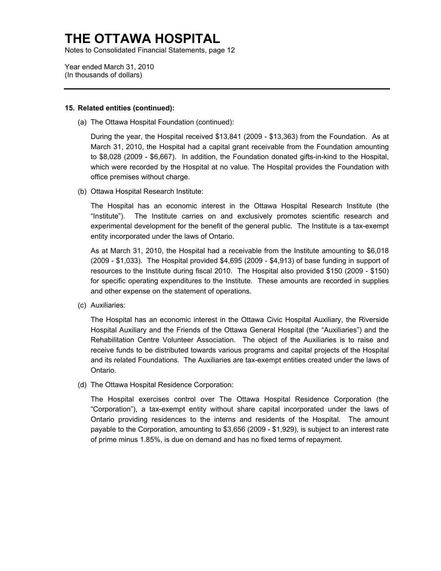Notes to Consolidated Financial Statements, page 12

Year ended March 31, 2010 (In thousands of dollars)

#### **15. Related entities (continued):**

(a) The Ottawa Hospital Foundation (continued):

During the year, the Hospital received \$13,841 (2009 - \$13,363) from the Foundation. As at March 31, 2010, the Hospital had a capital grant receivable from the Foundation amounting to \$8,028 (2009 - \$6,667). In addition, the Foundation donated gifts-in-kind to the Hospital, which were recorded by the Hospital at no value. The Hospital provides the Foundation with office premises without charge.

(b) Ottawa Hospital Research Institute:

The Hospital has an economic interest in the Ottawa Hospital Research Institute (the "Institute"). The Institute carries on and exclusively promotes scientific research and experimental development for the benefit of the general public. The Institute is a tax-exempt entity incorporated under the laws of Ontario.

As at March 31, 2010, the Hospital had a receivable from the Institute amounting to \$6,018 (2009 - \$1,033). The Hospital provided \$4,695 (2009 - \$4,913) of base funding in support of resources to the Institute during fiscal 2010. The Hospital also provided \$150 (2009 - \$150) for specific operating expenditures to the Institute. These amounts are recorded in supplies and other expense on the statement of operations.

(c) Auxiliaries:

The Hospital has an economic interest in the Ottawa Civic Hospital Auxiliary, the Riverside Hospital Auxiliary and the Friends of the Ottawa General Hospital (the "Auxiliaries") and the Rehabilitation Centre Volunteer Association. The object of the Auxiliaries is to raise and receive funds to be distributed towards various programs and capital projects of the Hospital and its related Foundations. The Auxiliaries are tax-exempt entities created under the laws of Ontario.

(d) The Ottawa Hospital Residence Corporation:

The Hospital exercises control over The Ottawa Hospital Residence Corporation (the "Corporation"), a tax-exempt entity without share capital incorporated under the laws of Ontario providing residences to the interns and residents of the Hospital. The amount payable to the Corporation, amounting to \$3,656 (2009 - \$1,929), is subject to an interest rate of prime minus 1.85%, is due on demand and has no fixed terms of repayment.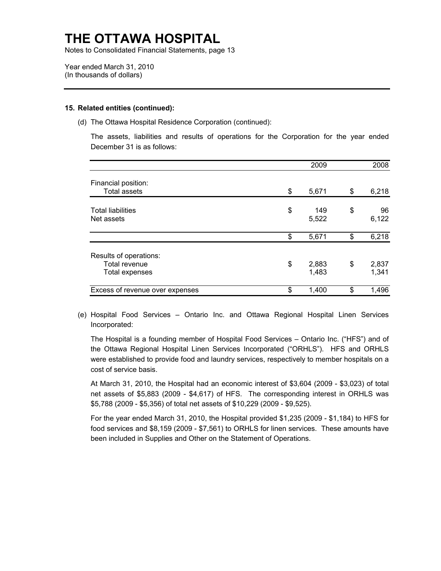Notes to Consolidated Financial Statements, page 13

Year ended March 31, 2010 (In thousands of dollars)

#### **15. Related entities (continued):**

(d) The Ottawa Hospital Residence Corporation (continued):

The assets, liabilities and results of operations for the Corporation for the year ended December 31 is as follows:

|                                 | 2009        | 2008        |
|---------------------------------|-------------|-------------|
| Financial position:             |             |             |
| <b>Total assets</b>             | \$<br>5,671 | \$<br>6,218 |
|                                 |             |             |
| <b>Total liabilities</b>        | \$<br>149   | \$<br>96    |
| Net assets                      | 5,522       | 6,122       |
|                                 | \$<br>5,671 | \$<br>6,218 |
| Results of operations:          |             |             |
| <b>Total revenue</b>            | \$<br>2,883 | \$<br>2,837 |
| Total expenses                  | 1,483       | 1,341       |
| Excess of revenue over expenses | \$<br>1,400 | \$<br>1,496 |

(e) Hospital Food Services – Ontario Inc. and Ottawa Regional Hospital Linen Services Incorporated:

The Hospital is a founding member of Hospital Food Services – Ontario Inc. ("HFS") and of the Ottawa Regional Hospital Linen Services Incorporated ("ORHLS"). HFS and ORHLS were established to provide food and laundry services, respectively to member hospitals on a cost of service basis.

At March 31, 2010, the Hospital had an economic interest of \$3,604 (2009 - \$3,023) of total net assets of \$5,883 (2009 - \$4,617) of HFS. The corresponding interest in ORHLS was \$5,788 (2009 - \$5,356) of total net assets of \$10,229 (2009 - \$9,525).

For the year ended March 31, 2010, the Hospital provided \$1,235 (2009 - \$1,184) to HFS for food services and \$8,159 (2009 - \$7,561) to ORHLS for linen services. These amounts have been included in Supplies and Other on the Statement of Operations.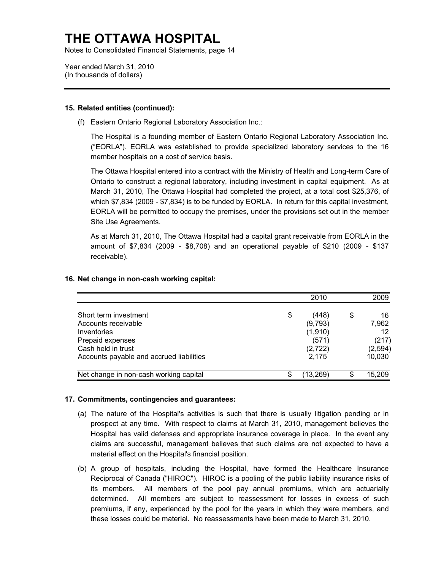Notes to Consolidated Financial Statements, page 14

Year ended March 31, 2010 (In thousands of dollars)

#### **15. Related entities (continued):**

(f) Eastern Ontario Regional Laboratory Association Inc.:

The Hospital is a founding member of Eastern Ontario Regional Laboratory Association Inc. ("EORLA"). EORLA was established to provide specialized laboratory services to the 16 member hospitals on a cost of service basis.

The Ottawa Hospital entered into a contract with the Ministry of Health and Long-term Care of Ontario to construct a regional laboratory, including investment in capital equipment. As at March 31, 2010, The Ottawa Hospital had completed the project, at a total cost \$25,376, of which \$7,834 (2009 - \$7,834) is to be funded by EORLA. In return for this capital investment, EORLA will be permitted to occupy the premises, under the provisions set out in the member Site Use Agreements.

As at March 31, 2010, The Ottawa Hospital had a capital grant receivable from EORLA in the amount of \$7,834 (2009 - \$8,708) and an operational payable of \$210 (2009 - \$137 receivable).

|                                          | 2010        | 2009     |
|------------------------------------------|-------------|----------|
| Short term investment                    | \$<br>(448) | \$<br>16 |
| Accounts receivable                      | (9,793)     | 7,962    |
| Inventories                              | (1,910)     | 12       |
| Prepaid expenses                         | (571)       | (217)    |
| Cash held in trust                       | (2, 722)    | (2, 594) |
| Accounts payable and accrued liabilities | 2.175       | 10,030   |
| Net change in non-cash working capital   | (13, 269)   | 15,209   |

#### **16. Net change in non-cash working capital:**

#### **17. Commitments, contingencies and guarantees:**

- (a) The nature of the Hospital's activities is such that there is usually litigation pending or in prospect at any time. With respect to claims at March 31, 2010, management believes the Hospital has valid defenses and appropriate insurance coverage in place. In the event any claims are successful, management believes that such claims are not expected to have a material effect on the Hospital's financial position.
- (b) A group of hospitals, including the Hospital, have formed the Healthcare Insurance Reciprocal of Canada ("HIROC"). HIROC is a pooling of the public liability insurance risks of its members. All members of the pool pay annual premiums, which are actuarially determined. All members are subject to reassessment for losses in excess of such premiums, if any, experienced by the pool for the years in which they were members, and these losses could be material. No reassessments have been made to March 31, 2010.